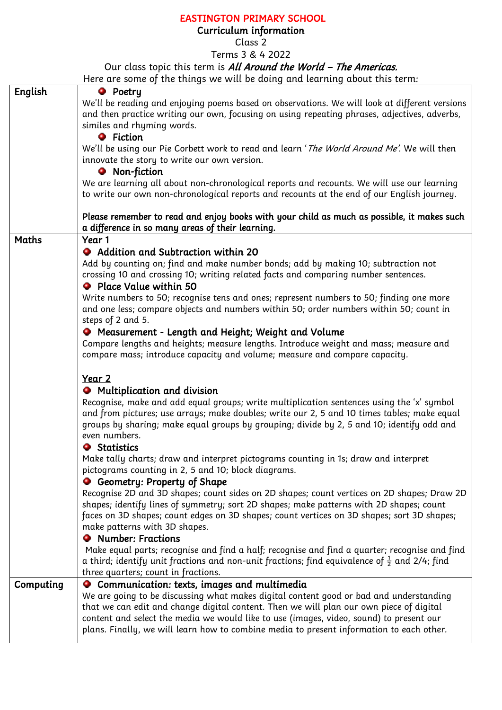## EASTINGTON PRIMARY SCHOOL

## Curriculum information

Class 2

Terms 3 & 4 2022

## Our class topic this term is All Around the World - The Americas.

Here are some of the things we will be doing and learning about this term:

| English   | <b>O</b> Poetry                                                                                          |
|-----------|----------------------------------------------------------------------------------------------------------|
|           | We'll be reading and enjoying poems based on observations. We will look at different versions            |
|           | and then practice writing our own, focusing on using repeating phrases, adjectives, adverbs,             |
|           | similes and rhyming words.                                                                               |
|           | <b>O</b> Fiction                                                                                         |
|           | We'll be using our Pie Corbett work to read and learn 'The World Around Me'. We will then                |
|           | innovate the story to write our own version.                                                             |
|           | <b>O</b> Non-fiction                                                                                     |
|           | We are learning all about non-chronological reports and recounts. We will use our learning               |
|           | to write our own non-chronological reports and recounts at the end of our English journey.               |
|           |                                                                                                          |
|           | Please remember to read and enjoy books with your child as much as possible, it makes such               |
|           | a difference in so many areas of their learning.                                                         |
| Maths     | Year 1                                                                                                   |
|           | • Addition and Subtraction within 20                                                                     |
|           | Add by counting on; find and make number bonds; add by making 10; subtraction not                        |
|           | crossing 10 and crossing 10; writing related facts and comparing number sentences.                       |
|           | • Place Value within 50                                                                                  |
|           | Write numbers to 50; recognise tens and ones; represent numbers to 50; finding one more                  |
|           | and one less; compare objects and numbers within 50; order numbers within 50; count in                   |
|           |                                                                                                          |
|           | steps of 2 and 5.                                                                                        |
|           | <b>O</b> Measurement - Length and Height; Weight and Volume                                              |
|           | Compare lengths and heights; measure lengths. Introduce weight and mass; measure and                     |
|           | compare mass; introduce capacity and volume; measure and compare capacity.                               |
|           |                                                                                                          |
|           | Year 2                                                                                                   |
|           | • Multiplication and division                                                                            |
|           | Recognise, make and add equal groups; write multiplication sentences using the 'x' symbol                |
|           | and from pictures; use arrays; make doubles; write our 2, 5 and 10 times tables; make equal              |
|           | groups by sharing; make equal groups by grouping; divide by 2, 5 and 10; identify odd and                |
|           | even numbers.                                                                                            |
|           | <b>Statistics</b>                                                                                        |
|           | Make tally charts; draw and interpret pictograms counting in 1s; draw and interpret                      |
|           | pictograms counting in 2, 5 and 10; block diagrams.                                                      |
|           | <b>O</b> Geometry: Property of Shape                                                                     |
|           | Recognise 2D and 3D shapes; count sides on 2D shapes; count vertices on 2D shapes; Draw 2D               |
|           | shapes; identify lines of symmetry; sort 2D shapes; make patterns with 2D shapes; count                  |
|           | faces on 3D shapes; count edges on 3D shapes; count vertices on 3D shapes; sort 3D shapes;               |
|           | make patterns with 3D shapes.                                                                            |
|           | <b>•</b> Number: Fractions                                                                               |
|           | Make equal parts; recognise and find a half; recognise and find a quarter; recognise and find            |
|           | a third; identify unit fractions and non-unit fractions; find equivalence of $\frac{1}{2}$ and 2/4; find |
|           | three quarters; count in fractions.                                                                      |
| Computing | Communication: texts, images and multimedia                                                              |
|           | We are going to be discussing what makes digital content good or bad and understanding                   |
|           | that we can edit and change digital content. Then we will plan our own piece of digital                  |
|           | content and select the media we would like to use (images, video, sound) to present our                  |
|           | plans. Finally, we will learn how to combine media to present information to each other.                 |
|           |                                                                                                          |